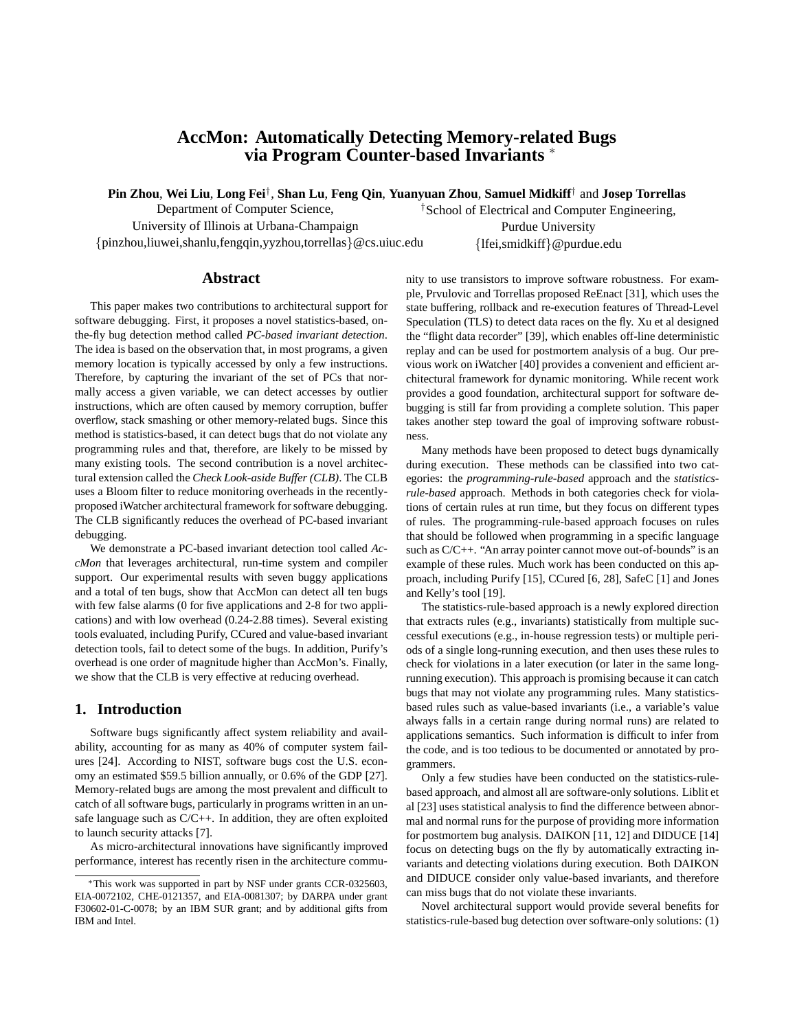# **AccMon: Automatically Detecting Memory-related Bugs via Program Counter-based Invariants** <sup>∗</sup>

**Pin Zhou**, **Wei Liu**, **Long Fei**† , **Shan Lu**, **Feng Qin**, **Yuanyuan Zhou**, **Samuel Midkiff**† and **Josep Torrellas**

Department of Computer Science, University of Illinois at Urbana-Champaign {pinzhou,liuwei,shanlu,fengqin,yyzhou,torrellas}@cs.uiuc.edu

†School of Electrical and Computer Engineering, Purdue University {lfei,smidkiff}@purdue.edu

### **Abstract**

This paper makes two contributions to architectural support for software debugging. First, it proposes a novel statistics-based, onthe-fly bug detection method called *PC-based invariant detection*. The idea is based on the observation that, in most programs, a given memory location is typically accessed by only a few instructions. Therefore, by capturing the invariant of the set of PCs that normally access a given variable, we can detect accesses by outlier instructions, which are often caused by memory corruption, buffer overflow, stack smashing or other memory-related bugs. Since this method is statistics-based, it can detect bugs that do not violate any programming rules and that, therefore, are likely to be missed by many existing tools. The second contribution is a novel architectural extension called the *Check Look-aside Buffer (CLB)*. The CLB uses a Bloom filter to reduce monitoring overheads in the recentlyproposed iWatcher architectural framework for software debugging. The CLB significantly reduces the overhead of PC-based invariant debugging.

We demonstrate a PC-based invariant detection tool called *AccMon* that leverages architectural, run-time system and compiler support. Our experimental results with seven buggy applications and a total of ten bugs, show that AccMon can detect all ten bugs with few false alarms (0 for five applications and 2-8 for two applications) and with low overhead (0.24-2.88 times). Several existing tools evaluated, including Purify, CCured and value-based invariant detection tools, fail to detect some of the bugs. In addition, Purify's overhead is one order of magnitude higher than AccMon's. Finally, we show that the CLB is very effective at reducing overhead.

### **1. Introduction**

Software bugs significantly affect system reliability and availability, accounting for as many as 40% of computer system failures [24]. According to NIST, software bugs cost the U.S. economy an estimated \$59.5 billion annually, or 0.6% of the GDP [27]. Memory-related bugs are among the most prevalent and difficult to catch of all software bugs, particularly in programs written in an unsafe language such as C/C++. In addition, they are often exploited to launch security attacks [7].

As micro-architectural innovations have significantly improved performance, interest has recently risen in the architecture community to use transistors to improve software robustness. For example, Prvulovic and Torrellas proposed ReEnact [31], which uses the state buffering, rollback and re-execution features of Thread-Level Speculation (TLS) to detect data races on the fly. Xu et al designed the "flight data recorder" [39], which enables off-line deterministic replay and can be used for postmortem analysis of a bug. Our previous work on iWatcher [40] provides a convenient and efficient architectural framework for dynamic monitoring. While recent work provides a good foundation, architectural support for software debugging is still far from providing a complete solution. This paper takes another step toward the goal of improving software robustness.

Many methods have been proposed to detect bugs dynamically during execution. These methods can be classified into two categories: the *programming-rule-based* approach and the *statisticsrule-based* approach. Methods in both categories check for violations of certain rules at run time, but they focus on different types of rules. The programming-rule-based approach focuses on rules that should be followed when programming in a specific language such as  $C/C++$ . "An array pointer cannot move out-of-bounds" is an example of these rules. Much work has been conducted on this approach, including Purify [15], CCured [6, 28], SafeC [1] and Jones and Kelly's tool [19].

The statistics-rule-based approach is a newly explored direction that extracts rules (e.g., invariants) statistically from multiple successful executions (e.g., in-house regression tests) or multiple periods of a single long-running execution, and then uses these rules to check for violations in a later execution (or later in the same longrunning execution). This approach is promising because it can catch bugs that may not violate any programming rules. Many statisticsbased rules such as value-based invariants (i.e., a variable's value always falls in a certain range during normal runs) are related to applications semantics. Such information is difficult to infer from the code, and is too tedious to be documented or annotated by programmers.

Only a few studies have been conducted on the statistics-rulebased approach, and almost all are software-only solutions. Liblit et al [23] uses statistical analysis to find the difference between abnormal and normal runs for the purpose of providing more information for postmortem bug analysis. DAIKON [11, 12] and DIDUCE [14] focus on detecting bugs on the fly by automatically extracting invariants and detecting violations during execution. Both DAIKON and DIDUCE consider only value-based invariants, and therefore can miss bugs that do not violate these invariants.

Novel architectural support would provide several benefits for statistics-rule-based bug detection over software-only solutions: (1)

<sup>∗</sup>This work was supported in part by NSF under grants CCR-0325603, EIA-0072102, CHE-0121357, and EIA-0081307; by DARPA under grant F30602-01-C-0078; by an IBM SUR grant; and by additional gifts from IBM and Intel.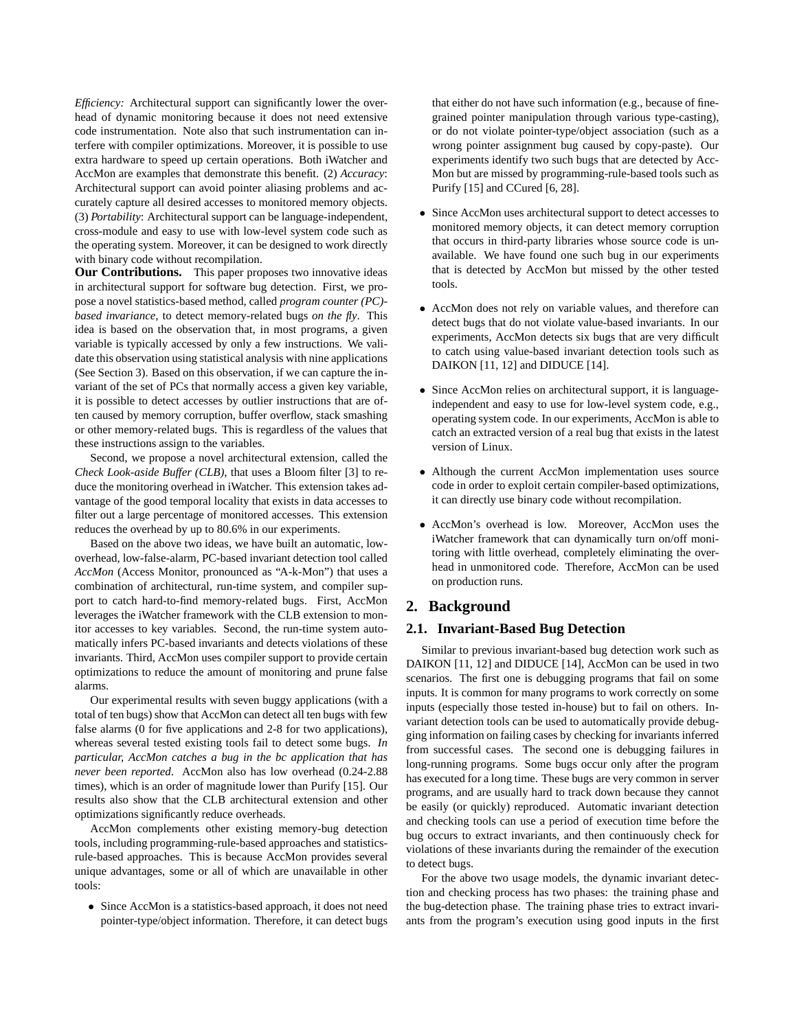*Efficiency:* Architectural support can significantly lower the overhead of dynamic monitoring because it does not need extensive code instrumentation. Note also that such instrumentation can interfere with compiler optimizations. Moreover, it is possible to use extra hardware to speed up certain operations. Both iWatcher and AccMon are examples that demonstrate this benefit. (2) *Accuracy*: Architectural support can avoid pointer aliasing problems and accurately capture all desired accesses to monitored memory objects. (3) *Portability*: Architectural support can be language-independent, cross-module and easy to use with low-level system code such as the operating system. Moreover, it can be designed to work directly with binary code without recompilation.

**Our Contributions.** This paper proposes two innovative ideas in architectural support for software bug detection. First, we propose a novel statistics-based method, called *program counter (PC) based invariance*, to detect memory-related bugs *on the fly*. This idea is based on the observation that, in most programs, a given variable is typically accessed by only a few instructions. We validate this observation using statistical analysis with nine applications (See Section 3). Based on this observation, if we can capture the invariant of the set of PCs that normally access a given key variable, it is possible to detect accesses by outlier instructions that are often caused by memory corruption, buffer overflow, stack smashing or other memory-related bugs. This is regardless of the values that these instructions assign to the variables.

Second, we propose a novel architectural extension, called the *Check Look-aside Buffer (CLB)*, that uses a Bloom filter [3] to reduce the monitoring overhead in iWatcher. This extension takes advantage of the good temporal locality that exists in data accesses to filter out a large percentage of monitored accesses. This extension reduces the overhead by up to 80.6% in our experiments.

Based on the above two ideas, we have built an automatic, lowoverhead, low-false-alarm, PC-based invariant detection tool called *AccMon* (Access Monitor, pronounced as "A-k-Mon") that uses a combination of architectural, run-time system, and compiler support to catch hard-to-find memory-related bugs. First, AccMon leverages the iWatcher framework with the CLB extension to monitor accesses to key variables. Second, the run-time system automatically infers PC-based invariants and detects violations of these invariants. Third, AccMon uses compiler support to provide certain optimizations to reduce the amount of monitoring and prune false alarms.

Our experimental results with seven buggy applications (with a total of ten bugs) show that AccMon can detect all ten bugs with few false alarms (0 for five applications and 2-8 for two applications), whereas several tested existing tools fail to detect some bugs. *In particular, AccMon catches a bug in the bc application that has never been reported*. AccMon also has low overhead (0.24-2.88 times), which is an order of magnitude lower than Purify [15]. Our results also show that the CLB architectural extension and other optimizations significantly reduce overheads.

AccMon complements other existing memory-bug detection tools, including programming-rule-based approaches and statisticsrule-based approaches. This is because AccMon provides several unique advantages, some or all of which are unavailable in other tools:

• Since AccMon is a statistics-based approach, it does not need pointer-type/object information. Therefore, it can detect bugs

that either do not have such information (e.g., because of finegrained pointer manipulation through various type-casting), or do not violate pointer-type/object association (such as a wrong pointer assignment bug caused by copy-paste). Our experiments identify two such bugs that are detected by Acc-Mon but are missed by programming-rule-based tools such as Purify [15] and CCured [6, 28].

- Since AccMon uses architectural support to detect accesses to monitored memory objects, it can detect memory corruption that occurs in third-party libraries whose source code is unavailable. We have found one such bug in our experiments that is detected by AccMon but missed by the other tested tools.
- AccMon does not rely on variable values, and therefore can detect bugs that do not violate value-based invariants. In our experiments, AccMon detects six bugs that are very difficult to catch using value-based invariant detection tools such as DAIKON [11, 12] and DIDUCE [14].
- Since AccMon relies on architectural support, it is languageindependent and easy to use for low-level system code, e.g., operating system code. In our experiments, AccMon is able to catch an extracted version of a real bug that exists in the latest version of Linux.
- Although the current AccMon implementation uses source code in order to exploit certain compiler-based optimizations, it can directly use binary code without recompilation.
- AccMon's overhead is low. Moreover, AccMon uses the iWatcher framework that can dynamically turn on/off monitoring with little overhead, completely eliminating the overhead in unmonitored code. Therefore, AccMon can be used on production runs.

# **2. Background**

# **2.1. Invariant-Based Bug Detection**

Similar to previous invariant-based bug detection work such as DAIKON [11, 12] and DIDUCE [14], AccMon can be used in two scenarios. The first one is debugging programs that fail on some inputs. It is common for many programs to work correctly on some inputs (especially those tested in-house) but to fail on others. Invariant detection tools can be used to automatically provide debugging information on failing cases by checking for invariants inferred from successful cases. The second one is debugging failures in long-running programs. Some bugs occur only after the program has executed for a long time. These bugs are very common in server programs, and are usually hard to track down because they cannot be easily (or quickly) reproduced. Automatic invariant detection and checking tools can use a period of execution time before the bug occurs to extract invariants, and then continuously check for violations of these invariants during the remainder of the execution to detect bugs.

For the above two usage models, the dynamic invariant detection and checking process has two phases: the training phase and the bug-detection phase. The training phase tries to extract invariants from the program's execution using good inputs in the first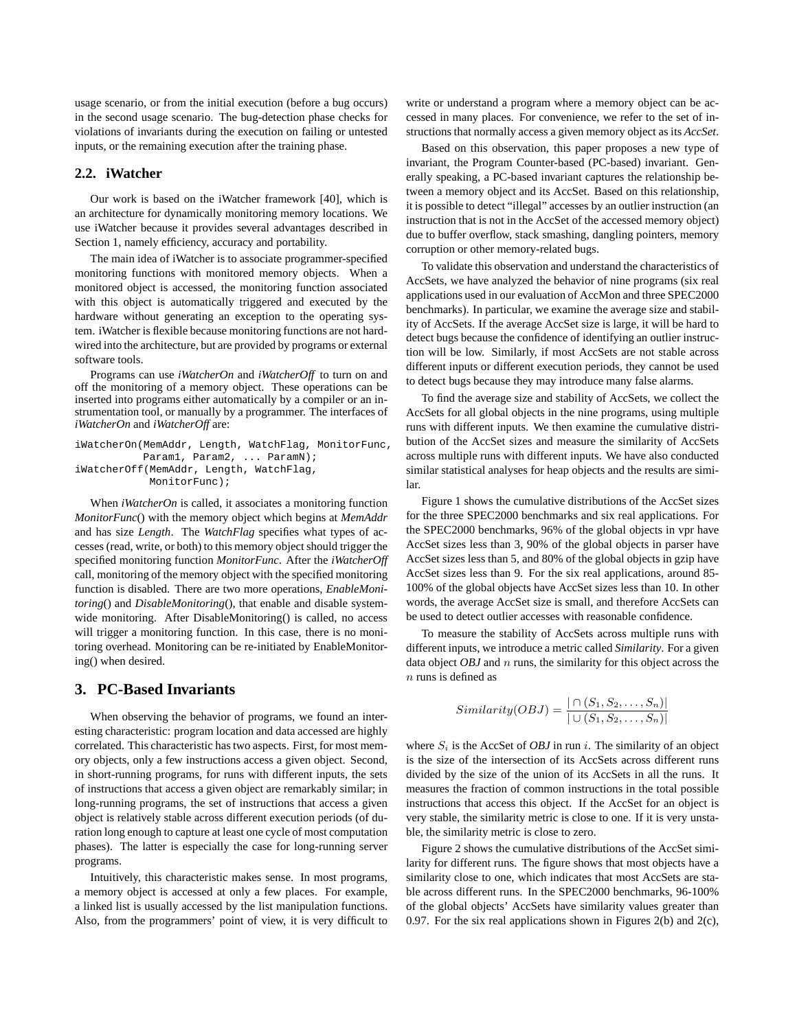usage scenario, or from the initial execution (before a bug occurs) in the second usage scenario. The bug-detection phase checks for violations of invariants during the execution on failing or untested inputs, or the remaining execution after the training phase.

#### **2.2. iWatcher**

Our work is based on the iWatcher framework [40], which is an architecture for dynamically monitoring memory locations. We use iWatcher because it provides several advantages described in Section 1, namely efficiency, accuracy and portability.

The main idea of iWatcher is to associate programmer-specified monitoring functions with monitored memory objects. When a monitored object is accessed, the monitoring function associated with this object is automatically triggered and executed by the hardware without generating an exception to the operating system. iWatcher is flexible because monitoring functions are not hardwired into the architecture, but are provided by programs or external software tools.

Programs can use *iWatcherOn* and *iWatcherOff* to turn on and off the monitoring of a memory object. These operations can be inserted into programs either automatically by a compiler or an instrumentation tool, or manually by a programmer. The interfaces of *iWatcherOn* and *iWatcherOff* are:

```
iWatcherOn(MemAddr, Length, WatchFlag, MonitorFunc,
           Param1, Param2, ... ParamN);
iWatcherOff(MemAddr, Length, WatchFlag,
           MonitorFunc);
```
When *iWatcherOn* is called, it associates a monitoring function *MonitorFunc*() with the memory object which begins at *MemAddr* and has size *Length*. The *WatchFlag* specifies what types of accesses (read, write, or both) to this memory object should trigger the specified monitoring function *MonitorFunc*. After the *iWatcherOff* call, monitoring of the memory object with the specified monitoring function is disabled. There are two more operations, *EnableMonitoring*() and *DisableMonitoring*(), that enable and disable systemwide monitoring. After DisableMonitoring() is called, no access will trigger a monitoring function. In this case, there is no monitoring overhead. Monitoring can be re-initiated by EnableMonitoring() when desired.

# **3. PC-Based Invariants**

When observing the behavior of programs, we found an interesting characteristic: program location and data accessed are highly correlated. This characteristic has two aspects. First, for most memory objects, only a few instructions access a given object. Second, in short-running programs, for runs with different inputs, the sets of instructions that access a given object are remarkably similar; in long-running programs, the set of instructions that access a given object is relatively stable across different execution periods (of duration long enough to capture at least one cycle of most computation phases). The latter is especially the case for long-running server programs.

Intuitively, this characteristic makes sense. In most programs, a memory object is accessed at only a few places. For example, a linked list is usually accessed by the list manipulation functions. Also, from the programmers' point of view, it is very difficult to

write or understand a program where a memory object can be accessed in many places. For convenience, we refer to the set of instructions that normally access a given memory object as its *AccSet*.

Based on this observation, this paper proposes a new type of invariant, the Program Counter-based (PC-based) invariant. Generally speaking, a PC-based invariant captures the relationship between a memory object and its AccSet. Based on this relationship, it is possible to detect "illegal" accesses by an outlier instruction (an instruction that is not in the AccSet of the accessed memory object) due to buffer overflow, stack smashing, dangling pointers, memory corruption or other memory-related bugs.

To validate this observation and understand the characteristics of AccSets, we have analyzed the behavior of nine programs (six real applications used in our evaluation of AccMon and three SPEC2000 benchmarks). In particular, we examine the average size and stability of AccSets. If the average AccSet size is large, it will be hard to detect bugs because the confidence of identifying an outlier instruction will be low. Similarly, if most AccSets are not stable across different inputs or different execution periods, they cannot be used to detect bugs because they may introduce many false alarms.

To find the average size and stability of AccSets, we collect the AccSets for all global objects in the nine programs, using multiple runs with different inputs. We then examine the cumulative distribution of the AccSet sizes and measure the similarity of AccSets across multiple runs with different inputs. We have also conducted similar statistical analyses for heap objects and the results are similar.

Figure 1 shows the cumulative distributions of the AccSet sizes for the three SPEC2000 benchmarks and six real applications. For the SPEC2000 benchmarks, 96% of the global objects in vpr have AccSet sizes less than 3, 90% of the global objects in parser have AccSet sizes less than 5, and 80% of the global objects in gzip have AccSet sizes less than 9. For the six real applications, around 85- 100% of the global objects have AccSet sizes less than 10. In other words, the average AccSet size is small, and therefore AccSets can be used to detect outlier accesses with reasonable confidence.

To measure the stability of AccSets across multiple runs with different inputs, we introduce a metric called *Similarity*. For a given data object *OBJ* and n runs, the similarity for this object across the  $n$  runs is defined as

$$
Similarity(OBJ) = \frac{|\bigcap (S_1, S_2, \dots, S_n)|}{|\bigcup (S_1, S_2, \dots, S_n)|}
$$

where  $S_i$  is the AccSet of *OBJ* in run i. The similarity of an object is the size of the intersection of its AccSets across different runs divided by the size of the union of its AccSets in all the runs. It measures the fraction of common instructions in the total possible instructions that access this object. If the AccSet for an object is very stable, the similarity metric is close to one. If it is very unstable, the similarity metric is close to zero.

Figure 2 shows the cumulative distributions of the AccSet similarity for different runs. The figure shows that most objects have a similarity close to one, which indicates that most AccSets are stable across different runs. In the SPEC2000 benchmarks, 96-100% of the global objects' AccSets have similarity values greater than 0.97. For the six real applications shown in Figures 2(b) and 2(c),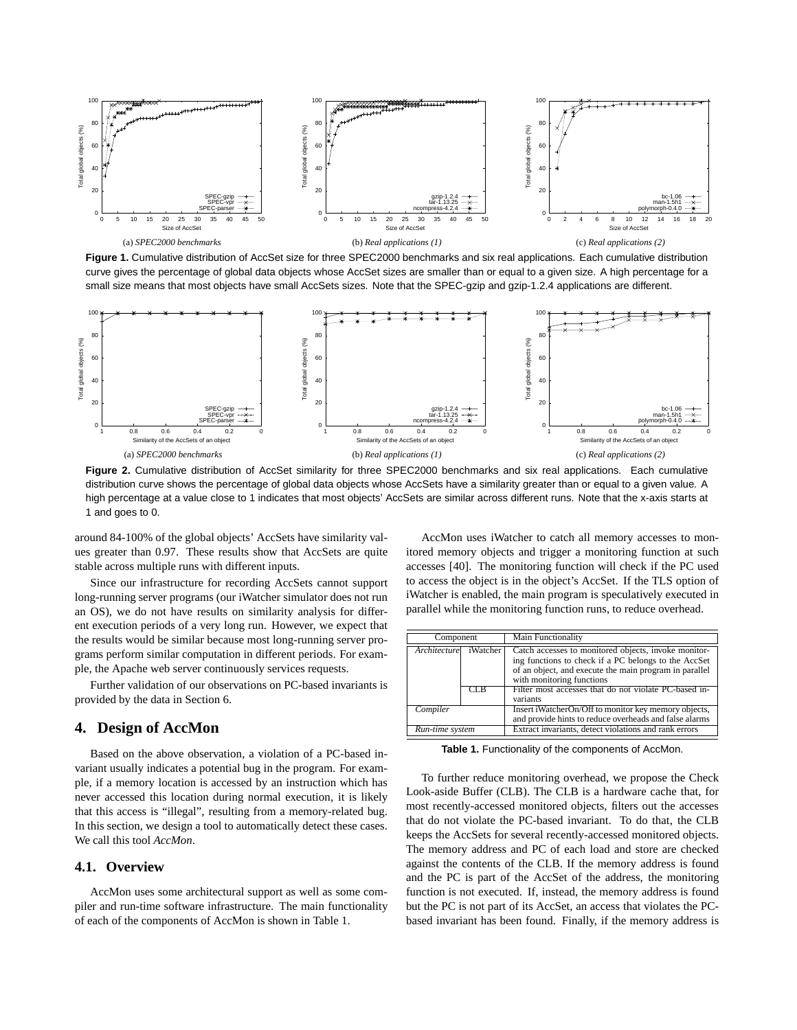

**Figure 1.** Cumulative distribution of AccSet size for three SPEC2000 benchmarks and six real applications. Each cumulative distribution curve gives the percentage of global data objects whose AccSet sizes are smaller than or equal to a given size. A high percentage for a small size means that most objects have small AccSets sizes. Note that the SPEC-gzip and gzip-1.2.4 applications are different.



**Figure 2.** Cumulative distribution of AccSet similarity for three SPEC2000 benchmarks and six real applications. Each cumulative distribution curve shows the percentage of global data objects whose AccSets have a similarity greater than or equal to a given value. A high percentage at a value close to 1 indicates that most objects' AccSets are similar across different runs. Note that the x-axis starts at 1 and goes to 0.

around 84-100% of the global objects' AccSets have similarity values greater than 0.97. These results show that AccSets are quite stable across multiple runs with different inputs.

Since our infrastructure for recording AccSets cannot support long-running server programs (our iWatcher simulator does not run an OS), we do not have results on similarity analysis for different execution periods of a very long run. However, we expect that the results would be similar because most long-running server programs perform similar computation in different periods. For example, the Apache web server continuously services requests.

Further validation of our observations on PC-based invariants is provided by the data in Section 6.

# **4. Design of AccMon**

Based on the above observation, a violation of a PC-based invariant usually indicates a potential bug in the program. For example, if a memory location is accessed by an instruction which has never accessed this location during normal execution, it is likely that this access is "illegal", resulting from a memory-related bug. In this section, we design a tool to automatically detect these cases. We call this tool *AccMon*.

#### **4.1. Overview**

AccMon uses some architectural support as well as some compiler and run-time software infrastructure. The main functionality of each of the components of AccMon is shown in Table 1.

AccMon uses iWatcher to catch all memory accesses to monitored memory objects and trigger a monitoring function at such accesses [40]. The monitoring function will check if the PC used to access the object is in the object's AccSet. If the TLS option of iWatcher is enabled, the main program is speculatively executed in parallel while the monitoring function runs, to reduce overhead.

| Component       |          | Main Functionality                                                                                                                                                                                  |
|-----------------|----------|-----------------------------------------------------------------------------------------------------------------------------------------------------------------------------------------------------|
| Architecture    | iWatcher | Catch accesses to monitored objects, invoke monitor-<br>ing functions to check if a PC belongs to the AccSet<br>of an object, and execute the main program in parallel<br>with monitoring functions |
|                 |          | Filter most accesses that do not violate PC-based in-<br>variants                                                                                                                                   |
| Compiler        |          | Insert iWatcherOn/Off to monitor key memory objects,<br>and provide hints to reduce overheads and false alarms                                                                                      |
| Run-time system |          | Extract invariants, detect violations and rank errors                                                                                                                                               |

**Table 1.** Functionality of the components of AccMon.

To further reduce monitoring overhead, we propose the Check Look-aside Buffer (CLB). The CLB is a hardware cache that, for most recently-accessed monitored objects, filters out the accesses that do not violate the PC-based invariant. To do that, the CLB keeps the AccSets for several recently-accessed monitored objects. The memory address and PC of each load and store are checked against the contents of the CLB. If the memory address is found and the PC is part of the AccSet of the address, the monitoring function is not executed. If, instead, the memory address is found but the PC is not part of its AccSet, an access that violates the PCbased invariant has been found. Finally, if the memory address is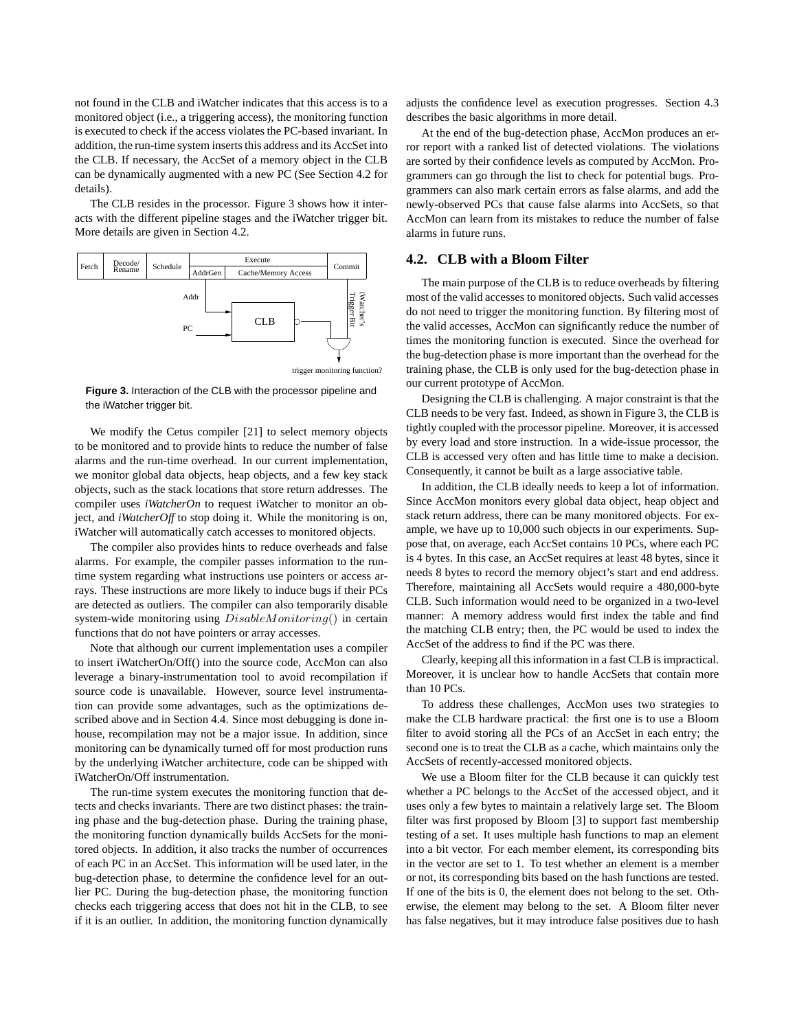not found in the CLB and iWatcher indicates that this access is to a monitored object (i.e., a triggering access), the monitoring function is executed to check if the access violates the PC-based invariant. In addition, the run-time system inserts this address and its AccSet into the CLB. If necessary, the AccSet of a memory object in the CLB can be dynamically augmented with a new PC (See Section 4.2 for details).

The CLB resides in the processor. Figure 3 shows how it interacts with the different pipeline stages and the iWatcher trigger bit. More details are given in Section 4.2.



trigger monitoring function?

**Figure 3.** Interaction of the CLB with the processor pipeline and the iWatcher trigger bit.

We modify the Cetus compiler [21] to select memory objects to be monitored and to provide hints to reduce the number of false alarms and the run-time overhead. In our current implementation, we monitor global data objects, heap objects, and a few key stack objects, such as the stack locations that store return addresses. The compiler uses *iWatcherOn* to request iWatcher to monitor an object, and *iWatcherOff* to stop doing it. While the monitoring is on, iWatcher will automatically catch accesses to monitored objects.

The compiler also provides hints to reduce overheads and false alarms. For example, the compiler passes information to the runtime system regarding what instructions use pointers or access arrays. These instructions are more likely to induce bugs if their PCs are detected as outliers. The compiler can also temporarily disable system-wide monitoring using  $DisableMonitoring()$  in certain functions that do not have pointers or array accesses.

Note that although our current implementation uses a compiler to insert iWatcherOn/Off() into the source code, AccMon can also leverage a binary-instrumentation tool to avoid recompilation if source code is unavailable. However, source level instrumentation can provide some advantages, such as the optimizations described above and in Section 4.4. Since most debugging is done inhouse, recompilation may not be a major issue. In addition, since monitoring can be dynamically turned off for most production runs by the underlying iWatcher architecture, code can be shipped with iWatcherOn/Off instrumentation.

The run-time system executes the monitoring function that detects and checks invariants. There are two distinct phases: the training phase and the bug-detection phase. During the training phase, the monitoring function dynamically builds AccSets for the monitored objects. In addition, it also tracks the number of occurrences of each PC in an AccSet. This information will be used later, in the bug-detection phase, to determine the confidence level for an outlier PC. During the bug-detection phase, the monitoring function checks each triggering access that does not hit in the CLB, to see if it is an outlier. In addition, the monitoring function dynamically adjusts the confidence level as execution progresses. Section 4.3 describes the basic algorithms in more detail.

At the end of the bug-detection phase, AccMon produces an error report with a ranked list of detected violations. The violations are sorted by their confidence levels as computed by AccMon. Programmers can go through the list to check for potential bugs. Programmers can also mark certain errors as false alarms, and add the newly-observed PCs that cause false alarms into AccSets, so that AccMon can learn from its mistakes to reduce the number of false alarms in future runs.

### **4.2. CLB with a Bloom Filter**

The main purpose of the CLB is to reduce overheads by filtering most of the valid accesses to monitored objects. Such valid accesses do not need to trigger the monitoring function. By filtering most of the valid accesses, AccMon can significantly reduce the number of times the monitoring function is executed. Since the overhead for the bug-detection phase is more important than the overhead for the training phase, the CLB is only used for the bug-detection phase in our current prototype of AccMon.

Designing the CLB is challenging. A major constraint is that the CLB needs to be very fast. Indeed, as shown in Figure 3, the CLB is tightly coupled with the processor pipeline. Moreover, it is accessed by every load and store instruction. In a wide-issue processor, the CLB is accessed very often and has little time to make a decision. Consequently, it cannot be built as a large associative table.

In addition, the CLB ideally needs to keep a lot of information. Since AccMon monitors every global data object, heap object and stack return address, there can be many monitored objects. For example, we have up to 10,000 such objects in our experiments. Suppose that, on average, each AccSet contains 10 PCs, where each PC is 4 bytes. In this case, an AccSet requires at least 48 bytes, since it needs 8 bytes to record the memory object's start and end address. Therefore, maintaining all AccSets would require a 480,000-byte CLB. Such information would need to be organized in a two-level manner: A memory address would first index the table and find the matching CLB entry; then, the PC would be used to index the AccSet of the address to find if the PC was there.

Clearly, keeping all this information in a fast CLB is impractical. Moreover, it is unclear how to handle AccSets that contain more than 10 PCs.

To address these challenges, AccMon uses two strategies to make the CLB hardware practical: the first one is to use a Bloom filter to avoid storing all the PCs of an AccSet in each entry; the second one is to treat the CLB as a cache, which maintains only the AccSets of recently-accessed monitored objects.

We use a Bloom filter for the CLB because it can quickly test whether a PC belongs to the AccSet of the accessed object, and it uses only a few bytes to maintain a relatively large set. The Bloom filter was first proposed by Bloom [3] to support fast membership testing of a set. It uses multiple hash functions to map an element into a bit vector. For each member element, its corresponding bits in the vector are set to 1. To test whether an element is a member or not, its corresponding bits based on the hash functions are tested. If one of the bits is 0, the element does not belong to the set. Otherwise, the element may belong to the set. A Bloom filter never has false negatives, but it may introduce false positives due to hash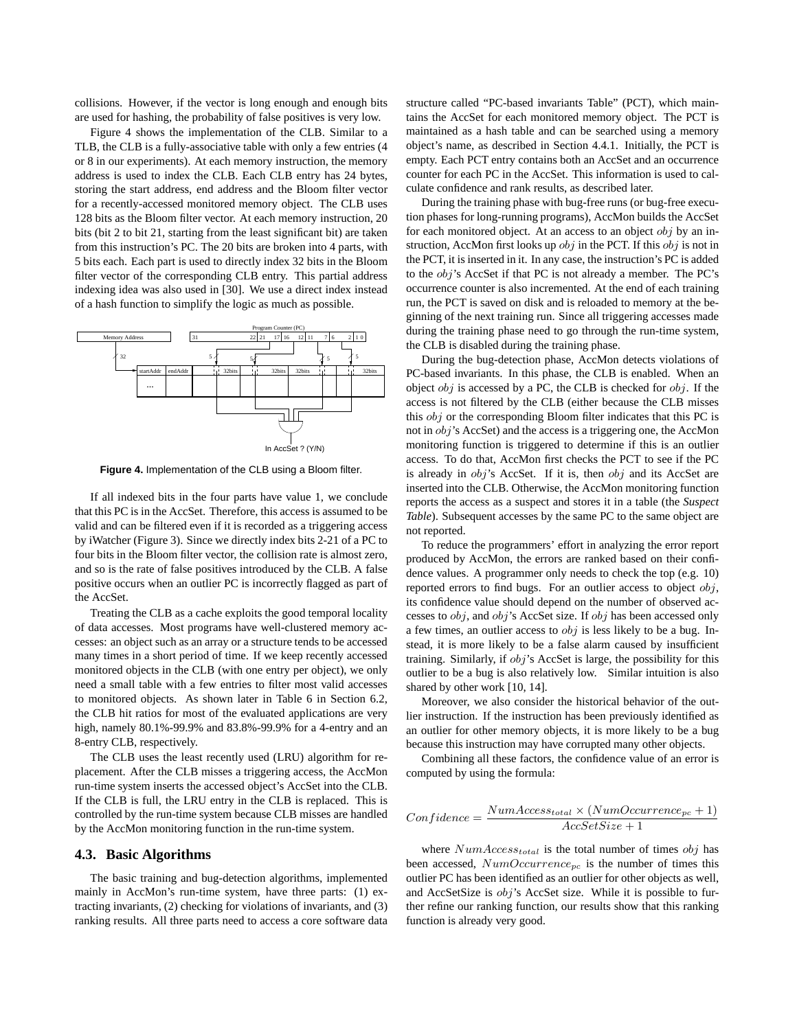collisions. However, if the vector is long enough and enough bits are used for hashing, the probability of false positives is very low.

Figure 4 shows the implementation of the CLB. Similar to a TLB, the CLB is a fully-associative table with only a few entries (4 or 8 in our experiments). At each memory instruction, the memory address is used to index the CLB. Each CLB entry has 24 bytes, storing the start address, end address and the Bloom filter vector for a recently-accessed monitored memory object. The CLB uses 128 bits as the Bloom filter vector. At each memory instruction, 20 bits (bit 2 to bit 21, starting from the least significant bit) are taken from this instruction's PC. The 20 bits are broken into 4 parts, with 5 bits each. Each part is used to directly index 32 bits in the Bloom filter vector of the corresponding CLB entry. This partial address indexing idea was also used in [30]. We use a direct index instead of a hash function to simplify the logic as much as possible.



**Figure 4.** Implementation of the CLB using a Bloom filter.

If all indexed bits in the four parts have value 1, we conclude that this PC is in the AccSet. Therefore, this access is assumed to be valid and can be filtered even if it is recorded as a triggering access by iWatcher (Figure 3). Since we directly index bits 2-21 of a PC to four bits in the Bloom filter vector, the collision rate is almost zero, and so is the rate of false positives introduced by the CLB. A false positive occurs when an outlier PC is incorrectly flagged as part of the AccSet.

Treating the CLB as a cache exploits the good temporal locality of data accesses. Most programs have well-clustered memory accesses: an object such as an array or a structure tends to be accessed many times in a short period of time. If we keep recently accessed monitored objects in the CLB (with one entry per object), we only need a small table with a few entries to filter most valid accesses to monitored objects. As shown later in Table 6 in Section 6.2, the CLB hit ratios for most of the evaluated applications are very high, namely 80.1%-99.9% and 83.8%-99.9% for a 4-entry and an 8-entry CLB, respectively.

The CLB uses the least recently used (LRU) algorithm for replacement. After the CLB misses a triggering access, the AccMon run-time system inserts the accessed object's AccSet into the CLB. If the CLB is full, the LRU entry in the CLB is replaced. This is controlled by the run-time system because CLB misses are handled by the AccMon monitoring function in the run-time system.

#### **4.3. Basic Algorithms**

The basic training and bug-detection algorithms, implemented mainly in AccMon's run-time system, have three parts: (1) extracting invariants, (2) checking for violations of invariants, and (3) ranking results. All three parts need to access a core software data structure called "PC-based invariants Table" (PCT), which maintains the AccSet for each monitored memory object. The PCT is maintained as a hash table and can be searched using a memory object's name, as described in Section 4.4.1. Initially, the PCT is empty. Each PCT entry contains both an AccSet and an occurrence counter for each PC in the AccSet. This information is used to calculate confidence and rank results, as described later.

During the training phase with bug-free runs (or bug-free execution phases for long-running programs), AccMon builds the AccSet for each monitored object. At an access to an object  $obj$  by an instruction, AccMon first looks up  $obj$  in the PCT. If this  $obj$  is not in the PCT, it is inserted in it. In any case, the instruction's PC is added to the obj's AccSet if that PC is not already a member. The PC's occurrence counter is also incremented. At the end of each training run, the PCT is saved on disk and is reloaded to memory at the beginning of the next training run. Since all triggering accesses made during the training phase need to go through the run-time system, the CLB is disabled during the training phase.

During the bug-detection phase, AccMon detects violations of PC-based invariants. In this phase, the CLB is enabled. When an object  $obj$  is accessed by a PC, the CLB is checked for  $obj$ . If the access is not filtered by the CLB (either because the CLB misses this obj or the corresponding Bloom filter indicates that this PC is not in obj's AccSet) and the access is a triggering one, the AccMon monitoring function is triggered to determine if this is an outlier access. To do that, AccMon first checks the PCT to see if the PC is already in  $obj$ 's AccSet. If it is, then  $obj$  and its AccSet are inserted into the CLB. Otherwise, the AccMon monitoring function reports the access as a suspect and stores it in a table (the *Suspect Table*). Subsequent accesses by the same PC to the same object are not reported.

To reduce the programmers' effort in analyzing the error report produced by AccMon, the errors are ranked based on their confidence values. A programmer only needs to check the top (e.g. 10) reported errors to find bugs. For an outlier access to object  $obj$ , its confidence value should depend on the number of observed accesses to obj, and obj's AccSet size. If obj has been accessed only a few times, an outlier access to  $obj$  is less likely to be a bug. Instead, it is more likely to be a false alarm caused by insufficient training. Similarly, if obj's AccSet is large, the possibility for this outlier to be a bug is also relatively low. Similar intuition is also shared by other work [10, 14].

Moreover, we also consider the historical behavior of the outlier instruction. If the instruction has been previously identified as an outlier for other memory objects, it is more likely to be a bug because this instruction may have corrupted many other objects.

Combining all these factors, the confidence value of an error is computed by using the formula:

$$
Confidence = \frac{NumAccess_{total} \times (NumOccurrence_{pc} + 1)}{AccSetSize + 1}
$$

where  $NumAccess_{total}$  is the total number of times  $obj$  has been accessed,  $NumOccurrence_{pc}$  is the number of times this outlier PC has been identified as an outlier for other objects as well, and AccSetSize is  $obj$ 's AccSet size. While it is possible to further refine our ranking function, our results show that this ranking function is already very good.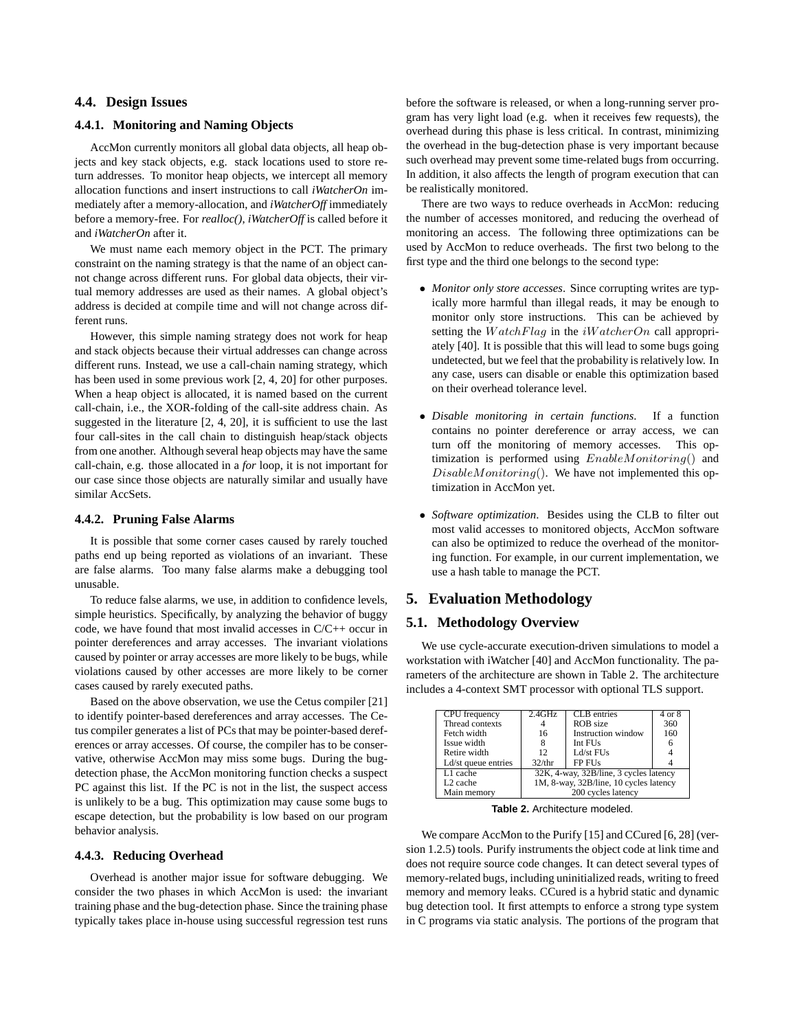# **4.4. Design Issues**

# **4.4.1. Monitoring and Naming Objects**

AccMon currently monitors all global data objects, all heap objects and key stack objects, e.g. stack locations used to store return addresses. To monitor heap objects, we intercept all memory allocation functions and insert instructions to call *iWatcherOn* immediately after a memory-allocation, and *iWatcherOff* immediately before a memory-free. For *realloc()*, *iWatcherOff* is called before it and *iWatcherOn* after it.

We must name each memory object in the PCT. The primary constraint on the naming strategy is that the name of an object cannot change across different runs. For global data objects, their virtual memory addresses are used as their names. A global object's address is decided at compile time and will not change across different runs.

However, this simple naming strategy does not work for heap and stack objects because their virtual addresses can change across different runs. Instead, we use a call-chain naming strategy, which has been used in some previous work [2, 4, 20] for other purposes. When a heap object is allocated, it is named based on the current call-chain, i.e., the XOR-folding of the call-site address chain. As suggested in the literature [2, 4, 20], it is sufficient to use the last four call-sites in the call chain to distinguish heap/stack objects from one another. Although several heap objects may have the same call-chain, e.g. those allocated in a *for* loop, it is not important for our case since those objects are naturally similar and usually have similar AccSets.

#### **4.4.2. Pruning False Alarms**

It is possible that some corner cases caused by rarely touched paths end up being reported as violations of an invariant. These are false alarms. Too many false alarms make a debugging tool unusable.

To reduce false alarms, we use, in addition to confidence levels, simple heuristics. Specifically, by analyzing the behavior of buggy code, we have found that most invalid accesses in C/C++ occur in pointer dereferences and array accesses. The invariant violations caused by pointer or array accesses are more likely to be bugs, while violations caused by other accesses are more likely to be corner cases caused by rarely executed paths.

Based on the above observation, we use the Cetus compiler [21] to identify pointer-based dereferences and array accesses. The Cetus compiler generates a list of PCs that may be pointer-based dereferences or array accesses. Of course, the compiler has to be conservative, otherwise AccMon may miss some bugs. During the bugdetection phase, the AccMon monitoring function checks a suspect PC against this list. If the PC is not in the list, the suspect access is unlikely to be a bug. This optimization may cause some bugs to escape detection, but the probability is low based on our program behavior analysis.

#### **4.4.3. Reducing Overhead**

Overhead is another major issue for software debugging. We consider the two phases in which AccMon is used: the invariant training phase and the bug-detection phase. Since the training phase typically takes place in-house using successful regression test runs before the software is released, or when a long-running server program has very light load (e.g. when it receives few requests), the overhead during this phase is less critical. In contrast, minimizing the overhead in the bug-detection phase is very important because such overhead may prevent some time-related bugs from occurring. In addition, it also affects the length of program execution that can be realistically monitored.

There are two ways to reduce overheads in AccMon: reducing the number of accesses monitored, and reducing the overhead of monitoring an access. The following three optimizations can be used by AccMon to reduce overheads. The first two belong to the first type and the third one belongs to the second type:

- *Monitor only store accesses*. Since corrupting writes are typically more harmful than illegal reads, it may be enough to monitor only store instructions. This can be achieved by setting the  $WatchFlag$  in the  $iWaterOn$  call appropriately [40]. It is possible that this will lead to some bugs going undetected, but we feel that the probability is relatively low. In any case, users can disable or enable this optimization based on their overhead tolerance level.
- *Disable monitoring in certain functions*. If a function contains no pointer dereference or array access, we can turn off the monitoring of memory accesses. This optimization is performed using  $EnableMonitoring()$  and  $DisableMonitoring(). We have not implemented this op-$ </mark> timization in AccMon yet.
- *Software optimization*. Besides using the CLB to filter out most valid accesses to monitored objects, AccMon software can also be optimized to reduce the overhead of the monitoring function. For example, in our current implementation, we use a hash table to manage the PCT.

# **5. Evaluation Methodology**

# **5.1. Methodology Overview**

We use cycle-accurate execution-driven simulations to model a workstation with iWatcher [40] and AccMon functionality. The parameters of the architecture are shown in Table 2. The architecture includes a 4-context SMT processor with optional TLS support.

| <b>CPU</b> frequency | 2.4GHz                                 | CLB entries                            | 4 or 8 |  |
|----------------------|----------------------------------------|----------------------------------------|--------|--|
| Thread contexts      |                                        | ROB size                               | 360    |  |
| Fetch width          | 16                                     | <b>Instruction</b> window              | 160    |  |
| Issue width          | 8                                      | Int FUs                                |        |  |
| Retire width         | 12.                                    | Ld/st FUs                              |        |  |
| Ld/st queue entries  | $32$ /thr                              | FP FUs                                 |        |  |
| L1 cache             |                                        | 32K, 4-way, 32B/line, 3 cycles latency |        |  |
| L <sub>2</sub> cache | 1M, 8-way, 32B/line, 10 cycles latency |                                        |        |  |
| Main memory          |                                        | 200 cycles latency                     |        |  |

**Table 2.** Architecture modeled.

We compare AccMon to the Purify [15] and CCured [6, 28] (version 1.2.5) tools. Purify instruments the object code at link time and does not require source code changes. It can detect several types of memory-related bugs, including uninitialized reads, writing to freed memory and memory leaks. CCured is a hybrid static and dynamic bug detection tool. It first attempts to enforce a strong type system in C programs via static analysis. The portions of the program that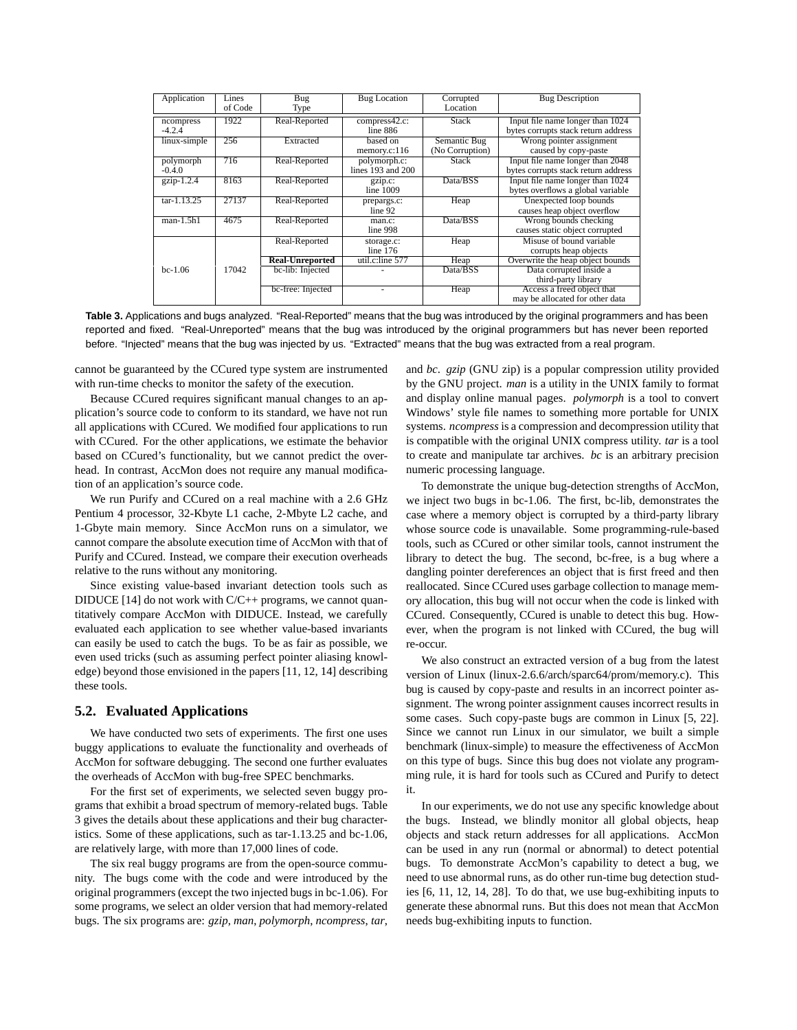| Application           | Lines<br>of Code | Bug<br>Type            | <b>Bug</b> Location               | Corrupted<br>Location           | Bug Description                                                         |
|-----------------------|------------------|------------------------|-----------------------------------|---------------------------------|-------------------------------------------------------------------------|
| ncompress<br>$-4.2.4$ | 1922             | Real-Reported          | compress42.c:<br>line 886         | <b>Stack</b>                    | Input file name longer than 1024<br>bytes corrupts stack return address |
| linux-simple          | 256              | Extracted              | based on<br>memory.c:116          | Semantic Bug<br>(No Corruption) | Wrong pointer assignment<br>caused by copy-paste                        |
| polymorph<br>$-0.4.0$ | 716              | Real-Reported          | polymorph.c:<br>lines 193 and 200 | Stack                           | Input file name longer than 2048<br>bytes corrupts stack return address |
| $gzip-1.2.4$          | 8163             | Real-Reported          | gzip.c:<br>line 1009              | Data/BSS                        | Input file name longer than 1024<br>bytes overflows a global variable   |
| tar-1.13.25           | 27137            | Real-Reported          | prepargs.c:<br>line 92            | Heap                            | Unexpected loop bounds<br>causes heap object overflow                   |
| $man-1.5h1$           | 4675             | Real-Reported          | man.c:<br>line 998                | Data/BSS                        | Wrong bounds checking<br>causes static object corrupted                 |
|                       |                  | Real-Reported          | storage.c:<br>line $176$          | Heap                            | Misuse of bound variable<br>corrupts heap objects                       |
|                       |                  | <b>Real-Unreported</b> | util.c:line 577                   | Heap                            | Overwrite the heap object bounds                                        |
| $bc-1.06$             | 17042            | bc-lib: Injected       |                                   | Data/BSS                        | Data corrupted inside a<br>third-party library                          |
|                       |                  | bc-free: Injected      |                                   | Heap                            | Access a freed object that<br>may be allocated for other data           |

**Table 3.** Applications and bugs analyzed. "Real-Reported" means that the bug was introduced by the original programmers and has been reported and fixed. "Real-Unreported" means that the bug was introduced by the original programmers but has never been reported before. "Injected" means that the bug was injected by us. "Extracted" means that the bug was extracted from a real program.

cannot be guaranteed by the CCured type system are instrumented with run-time checks to monitor the safety of the execution.

Because CCured requires significant manual changes to an application's source code to conform to its standard, we have not run all applications with CCured. We modified four applications to run with CCured. For the other applications, we estimate the behavior based on CCured's functionality, but we cannot predict the overhead. In contrast, AccMon does not require any manual modification of an application's source code.

We run Purify and CCured on a real machine with a 2.6 GHz Pentium 4 processor, 32-Kbyte L1 cache, 2-Mbyte L2 cache, and 1-Gbyte main memory. Since AccMon runs on a simulator, we cannot compare the absolute execution time of AccMon with that of Purify and CCured. Instead, we compare their execution overheads relative to the runs without any monitoring.

Since existing value-based invariant detection tools such as DIDUCE [14] do not work with  $C/C++$  programs, we cannot quantitatively compare AccMon with DIDUCE. Instead, we carefully evaluated each application to see whether value-based invariants can easily be used to catch the bugs. To be as fair as possible, we even used tricks (such as assuming perfect pointer aliasing knowledge) beyond those envisioned in the papers [11, 12, 14] describing these tools.

#### **5.2. Evaluated Applications**

We have conducted two sets of experiments. The first one uses buggy applications to evaluate the functionality and overheads of AccMon for software debugging. The second one further evaluates the overheads of AccMon with bug-free SPEC benchmarks.

For the first set of experiments, we selected seven buggy programs that exhibit a broad spectrum of memory-related bugs. Table 3 gives the details about these applications and their bug characteristics. Some of these applications, such as tar-1.13.25 and bc-1.06, are relatively large, with more than 17,000 lines of code.

The six real buggy programs are from the open-source community. The bugs come with the code and were introduced by the original programmers (except the two injected bugs in bc-1.06). For some programs, we select an older version that had memory-related bugs. The six programs are: *gzip*, *man*, *polymorph*, *ncompress*, *tar*, and *bc*. *gzip* (GNU zip) is a popular compression utility provided by the GNU project. *man* is a utility in the UNIX family to format and display online manual pages. *polymorph* is a tool to convert Windows' style file names to something more portable for UNIX systems. *ncompress* is a compression and decompression utility that is compatible with the original UNIX compress utility. *tar* is a tool to create and manipulate tar archives. *bc* is an arbitrary precision numeric processing language.

To demonstrate the unique bug-detection strengths of AccMon, we inject two bugs in bc-1.06. The first, bc-lib, demonstrates the case where a memory object is corrupted by a third-party library whose source code is unavailable. Some programming-rule-based tools, such as CCured or other similar tools, cannot instrument the library to detect the bug. The second, bc-free, is a bug where a dangling pointer dereferences an object that is first freed and then reallocated. Since CCured uses garbage collection to manage memory allocation, this bug will not occur when the code is linked with CCured. Consequently, CCured is unable to detect this bug. However, when the program is not linked with CCured, the bug will re-occur.

We also construct an extracted version of a bug from the latest version of Linux (linux-2.6.6/arch/sparc64/prom/memory.c). This bug is caused by copy-paste and results in an incorrect pointer assignment. The wrong pointer assignment causes incorrect results in some cases. Such copy-paste bugs are common in Linux [5, 22]. Since we cannot run Linux in our simulator, we built a simple benchmark (linux-simple) to measure the effectiveness of AccMon on this type of bugs. Since this bug does not violate any programming rule, it is hard for tools such as CCured and Purify to detect it.

In our experiments, we do not use any specific knowledge about the bugs. Instead, we blindly monitor all global objects, heap objects and stack return addresses for all applications. AccMon can be used in any run (normal or abnormal) to detect potential bugs. To demonstrate AccMon's capability to detect a bug, we need to use abnormal runs, as do other run-time bug detection studies [6, 11, 12, 14, 28]. To do that, we use bug-exhibiting inputs to generate these abnormal runs. But this does not mean that AccMon needs bug-exhibiting inputs to function.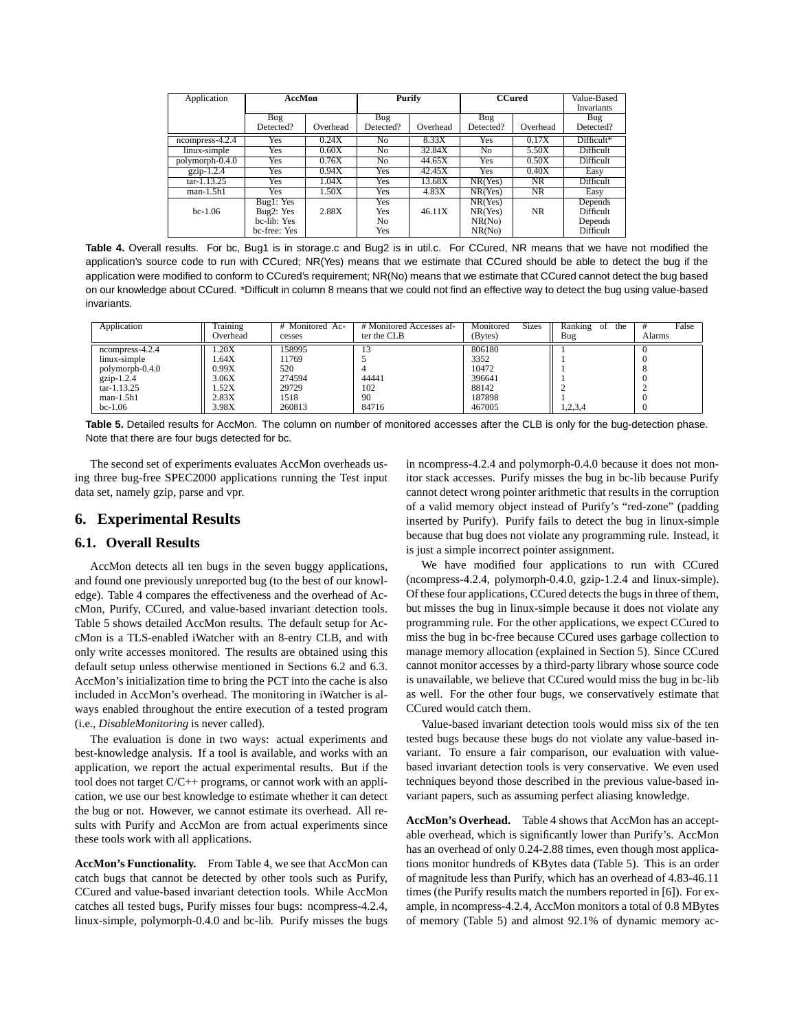| Application       | AccMon                                                |          | Purify                              |          | <b>CCured</b>                          |           | Value-Based<br>Invariants                    |
|-------------------|-------------------------------------------------------|----------|-------------------------------------|----------|----------------------------------------|-----------|----------------------------------------------|
|                   | Bug                                                   |          | Bug                                 |          | Bug                                    |           | Bug                                          |
|                   | Detected?                                             | Overhead | Detected?                           | Overhead | Detected?                              | Overhead  | Detected?                                    |
| $ncompress-4.2.4$ | Yes                                                   | 0.24X    | No.                                 | 8.33X    | Yes                                    | 0.17X     | Difficult*                                   |
| linux-simple      | Yes                                                   | 0.60X    | No.                                 | 32.84X   | No                                     | 5.50X     | Difficult                                    |
| $polymorph-0.4.0$ | Yes                                                   | 0.76X    | No.                                 | 44.65X   | Yes                                    | 0.50X     | Difficult                                    |
| $gzip-1.2.4$      | Yes                                                   | 0.94X    | Yes.                                | 42.45X   | Yes                                    | 0.40X     | Easy                                         |
| $tar-1.13.25$     | Yes                                                   | 1.04X    | Yes.                                | 13.68X   | NR(Yes)                                | NR        | Difficult                                    |
| $man-1.5h1$       | Yes                                                   | 1.50X    | Yes                                 | 4.83X    | NR(Yes)                                | NR        | Easy                                         |
| $bc-1.06$         | Bug1: Yes<br>Bug2: Yes<br>bc-lib: Yes<br>bc-free: Yes | 2.88X    | Yes<br>Yes<br>N <sub>0</sub><br>Yes | 46.11X   | NR(Yes)<br>NR(Yes)<br>NR(No)<br>NR(No) | <b>NR</b> | Depends<br>Difficult<br>Depends<br>Difficult |

**Table 4.** Overall results. For bc, Bug1 is in storage.c and Bug2 is in util.c. For CCured, NR means that we have not modified the application's source code to run with CCured; NR(Yes) means that we estimate that CCured should be able to detect the bug if the application were modified to conform to CCured's requirement; NR(No) means that we estimate that CCured cannot detect the bug based on our knowledge about CCured. \*Difficult in column 8 means that we could not find an effective way to detect the bug using value-based invariants.

| Application     | Fraining | Monitored Ac-<br># | # Monitored Accesses af- | Monitored<br>S <sub>1</sub> zes | Ranking<br>the<br>-ot | False  |
|-----------------|----------|--------------------|--------------------------|---------------------------------|-----------------------|--------|
|                 | Overhead | cesses             | ter the CLB              | (Bytes)                         | Bug                   | Alarms |
| ncompress-4.2.4 | .20X     | 158995             |                          | 806180                          |                       |        |
| linux-simple    | !.64X    | 11769              |                          | 3352                            |                       |        |
| polymorph-0.4.0 | 0.99X    | 520                |                          | 10472                           |                       |        |
| $gzip-1.2.4$    | 3.06X    | 274594             | 44441                    | 396641                          |                       |        |
| $tar-1.13.25$   | .52X     | 29729              | 102                      | 88142                           |                       |        |
| $man-1.5h1$     | 2.83X    | 1518               | 90                       | 187898                          |                       |        |
| $bc-1.06$       | 3.98X    | 260813             | 84716                    | 467005                          | 1,2,3,4               |        |

**Table 5.** Detailed results for AccMon. The column on number of monitored accesses after the CLB is only for the bug-detection phase. Note that there are four bugs detected for bc.

The second set of experiments evaluates AccMon overheads using three bug-free SPEC2000 applications running the Test input data set, namely gzip, parse and vpr.

# **6. Experimental Results**

# **6.1. Overall Results**

AccMon detects all ten bugs in the seven buggy applications, and found one previously unreported bug (to the best of our knowledge). Table 4 compares the effectiveness and the overhead of AccMon, Purify, CCured, and value-based invariant detection tools. Table 5 shows detailed AccMon results. The default setup for AccMon is a TLS-enabled iWatcher with an 8-entry CLB, and with only write accesses monitored. The results are obtained using this default setup unless otherwise mentioned in Sections 6.2 and 6.3. AccMon's initialization time to bring the PCT into the cache is also included in AccMon's overhead. The monitoring in iWatcher is always enabled throughout the entire execution of a tested program (i.e., *DisableMonitoring* is never called).

The evaluation is done in two ways: actual experiments and best-knowledge analysis. If a tool is available, and works with an application, we report the actual experimental results. But if the tool does not target C/C++ programs, or cannot work with an application, we use our best knowledge to estimate whether it can detect the bug or not. However, we cannot estimate its overhead. All results with Purify and AccMon are from actual experiments since these tools work with all applications.

**AccMon's Functionality.** From Table 4, we see that AccMon can catch bugs that cannot be detected by other tools such as Purify, CCured and value-based invariant detection tools. While AccMon catches all tested bugs, Purify misses four bugs: ncompress-4.2.4, linux-simple, polymorph-0.4.0 and bc-lib. Purify misses the bugs

in ncompress-4.2.4 and polymorph-0.4.0 because it does not monitor stack accesses. Purify misses the bug in bc-lib because Purify cannot detect wrong pointer arithmetic that results in the corruption of a valid memory object instead of Purify's "red-zone" (padding inserted by Purify). Purify fails to detect the bug in linux-simple because that bug does not violate any programming rule. Instead, it is just a simple incorrect pointer assignment.

We have modified four applications to run with CCured (ncompress-4.2.4, polymorph-0.4.0, gzip-1.2.4 and linux-simple). Of these four applications, CCured detects the bugs in three of them, but misses the bug in linux-simple because it does not violate any programming rule. For the other applications, we expect CCured to miss the bug in bc-free because CCured uses garbage collection to manage memory allocation (explained in Section 5). Since CCured cannot monitor accesses by a third-party library whose source code is unavailable, we believe that CCured would miss the bug in bc-lib as well. For the other four bugs, we conservatively estimate that CCured would catch them.

Value-based invariant detection tools would miss six of the ten tested bugs because these bugs do not violate any value-based invariant. To ensure a fair comparison, our evaluation with valuebased invariant detection tools is very conservative. We even used techniques beyond those described in the previous value-based invariant papers, such as assuming perfect aliasing knowledge.

**AccMon's Overhead.** Table 4 shows that AccMon has an acceptable overhead, which is significantly lower than Purify's. AccMon has an overhead of only 0.24-2.88 times, even though most applications monitor hundreds of KBytes data (Table 5). This is an order of magnitude less than Purify, which has an overhead of 4.83-46.11 times (the Purify results match the numbers reported in [6]). For example, in ncompress-4.2.4, AccMon monitors a total of 0.8 MBytes of memory (Table 5) and almost 92.1% of dynamic memory ac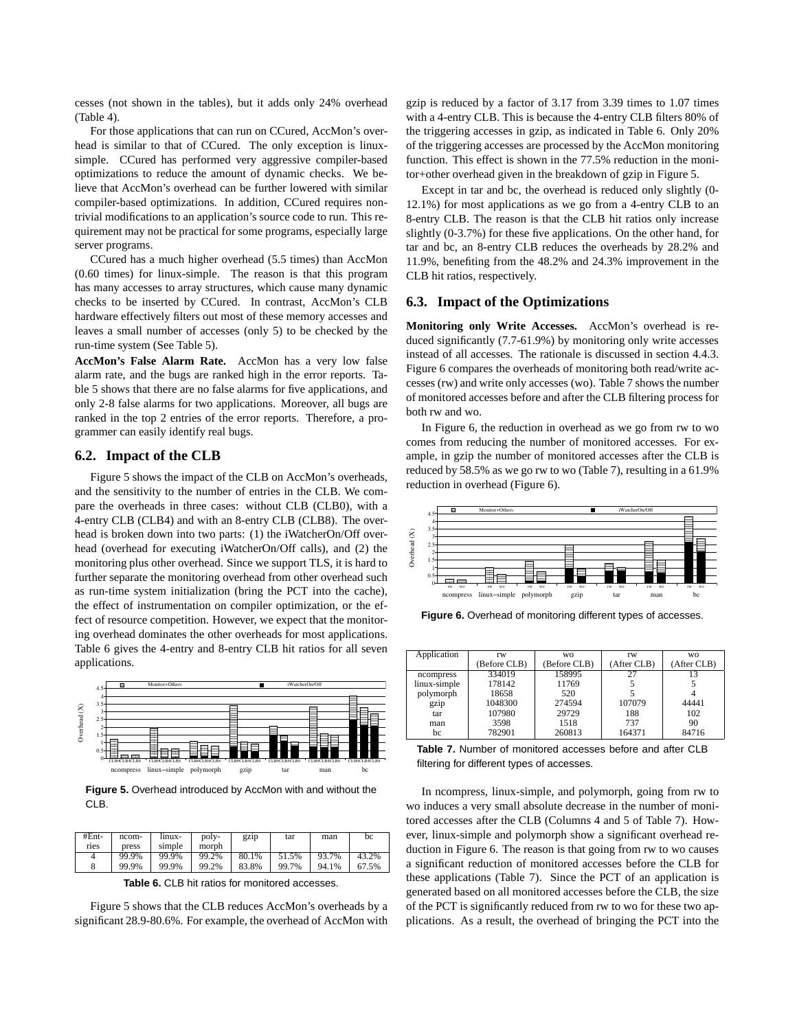cesses (not shown in the tables), but it adds only 24% overhead (Table 4).

For those applications that can run on CCured, AccMon's overhead is similar to that of CCured. The only exception is linuxsimple. CCured has performed very aggressive compiler-based optimizations to reduce the amount of dynamic checks. We believe that AccMon's overhead can be further lowered with similar compiler-based optimizations. In addition, CCured requires nontrivial modifications to an application's source code to run. This requirement may not be practical for some programs, especially large server programs.

CCured has a much higher overhead (5.5 times) than AccMon (0.60 times) for linux-simple. The reason is that this program has many accesses to array structures, which cause many dynamic checks to be inserted by CCured. In contrast, AccMon's CLB hardware effectively filters out most of these memory accesses and leaves a small number of accesses (only 5) to be checked by the run-time system (See Table 5).

**AccMon's False Alarm Rate.** AccMon has a very low false alarm rate, and the bugs are ranked high in the error reports. Table 5 shows that there are no false alarms for five applications, and only 2-8 false alarms for two applications. Moreover, all bugs are ranked in the top 2 entries of the error reports. Therefore, a programmer can easily identify real bugs.

#### **6.2. Impact of the CLB**

Figure 5 shows the impact of the CLB on AccMon's overheads, and the sensitivity to the number of entries in the CLB. We compare the overheads in three cases: without CLB (CLB0), with a 4-entry CLB (CLB4) and with an 8-entry CLB (CLB8). The overhead is broken down into two parts: (1) the iWatcherOn/Off overhead (overhead for executing iWatcherOn/Off calls), and (2) the monitoring plus other overhead. Since we support TLS, it is hard to further separate the monitoring overhead from other overhead such as run-time system initialization (bring the PCT into the cache), the effect of instrumentation on compiler optimization, or the effect of resource competition. However, we expect that the monitoring overhead dominates the other overheads for most applications. Table 6 gives the 4-entry and 8-entry CLB hit ratios for all seven applications.



**Figure 5.** Overhead introduced by AccMon with and without the CLB.

| #Ent- | ncom- | lınux- | poly- | gzip  | tar   | man   | bc    |
|-------|-------|--------|-------|-------|-------|-------|-------|
| ries  | press | simple | morph |       |       |       |       |
| 4     | 99.9% | 99.9%  | 99.2% | 80.1% | 51.5% | 93.7% | 43.2% |
| 8     | 99.9% | 99.9%  | 99.2% | 83.8% | 99.7% | 94.1% | 67.5% |

**Table 6.** CLB hit ratios for monitored accesses.

Figure 5 shows that the CLB reduces AccMon's overheads by a significant 28.9-80.6%. For example, the overhead of AccMon with

gzip is reduced by a factor of 3.17 from 3.39 times to 1.07 times with a 4-entry CLB. This is because the 4-entry CLB filters 80% of the triggering accesses in gzip, as indicated in Table 6. Only 20% of the triggering accesses are processed by the AccMon monitoring function. This effect is shown in the 77.5% reduction in the monitor+other overhead given in the breakdown of gzip in Figure 5.

Except in tar and bc, the overhead is reduced only slightly (0- 12.1%) for most applications as we go from a 4-entry CLB to an 8-entry CLB. The reason is that the CLB hit ratios only increase slightly (0-3.7%) for these five applications. On the other hand, for tar and bc, an 8-entry CLB reduces the overheads by 28.2% and 11.9%, benefiting from the 48.2% and 24.3% improvement in the CLB hit ratios, respectively.

#### **6.3. Impact of the Optimizations**

**Monitoring only Write Accesses.** AccMon's overhead is reduced significantly (7.7-61.9%) by monitoring only write accesses instead of all accesses. The rationale is discussed in section 4.4.3. Figure 6 compares the overheads of monitoring both read/write accesses (rw) and write only accesses (wo). Table 7 shows the number of monitored accesses before and after the CLB filtering process for both rw and wo.

In Figure 6, the reduction in overhead as we go from rw to wo comes from reducing the number of monitored accesses. For example, in gzip the number of monitored accesses after the CLB is reduced by 58.5% as we go rw to wo (Table 7), resulting in a 61.9% reduction in overhead (Figure 6).



**Figure 6.** Overhead of monitoring different types of accesses.

| Application  | rw          | <b>WO</b>   | rw          | <b>WO</b>   |
|--------------|-------------|-------------|-------------|-------------|
|              | Before CLB) | Before CLB) | (After CLB) | (After CLB) |
| ncompress    | 334019      | 158995      | 27          | 13          |
| linux-simple | 178142      | 11769       |             |             |
| polymorph    | 18658       | 520         |             |             |
| gzip         | 1048300     | 274594      | 107079      | 44441       |
| tar          | 107980      | 29729       | 188         | 102         |
| man          | 3598        | 1518        | 737         | 90          |
| bс           | 782901      | 260813      | 164371      | 84716       |

**Table 7.** Number of monitored accesses before and after CLB filtering for different types of accesses.

In ncompress, linux-simple, and polymorph, going from rw to wo induces a very small absolute decrease in the number of monitored accesses after the CLB (Columns 4 and 5 of Table 7). However, linux-simple and polymorph show a significant overhead reduction in Figure 6. The reason is that going from rw to wo causes a significant reduction of monitored accesses before the CLB for these applications (Table 7). Since the PCT of an application is generated based on all monitored accesses before the CLB, the size of the PCT is significantly reduced from rw to wo for these two applications. As a result, the overhead of bringing the PCT into the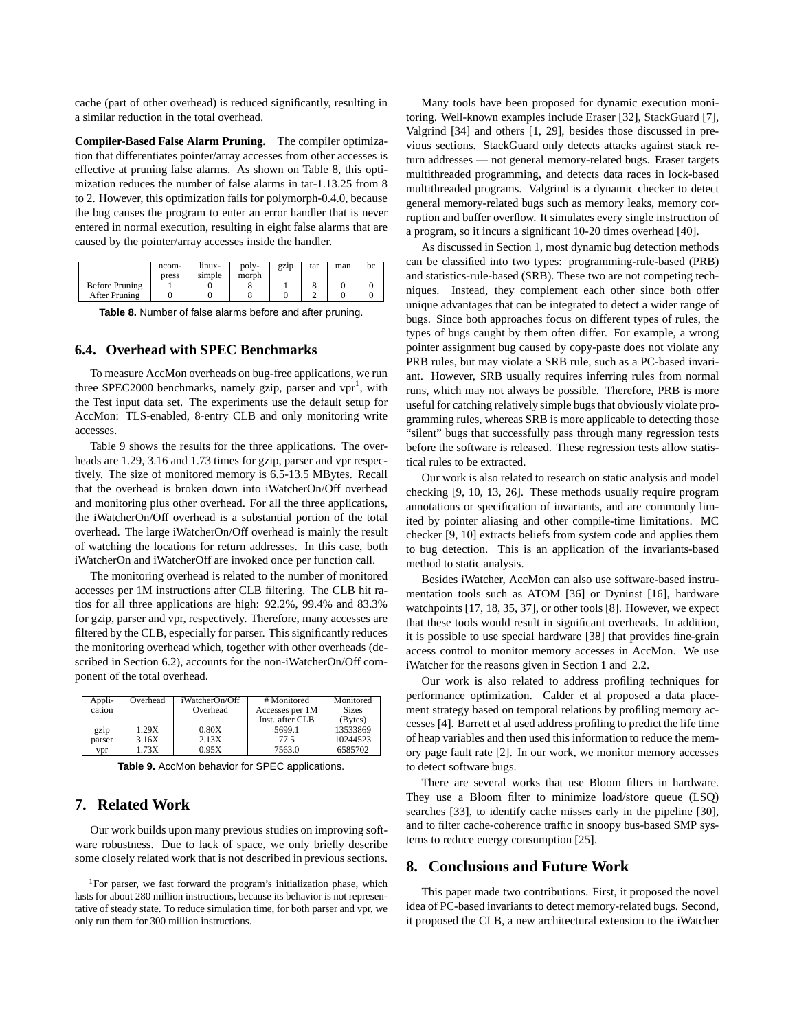cache (part of other overhead) is reduced significantly, resulting in a similar reduction in the total overhead.

**Compiler-Based False Alarm Pruning.** The compiler optimization that differentiates pointer/array accesses from other accesses is effective at pruning false alarms. As shown on Table 8, this optimization reduces the number of false alarms in tar-1.13.25 from 8 to 2. However, this optimization fails for polymorph-0.4.0, because the bug causes the program to enter an error handler that is never entered in normal execution, resulting in eight false alarms that are caused by the pointer/array accesses inside the handler.

|                | ncom-<br>press | lınux-<br>simple | poly-<br>morph | gzip | tar | man | bc |
|----------------|----------------|------------------|----------------|------|-----|-----|----|
| Before Pruning |                |                  |                |      |     |     |    |
| After Pruning  |                |                  |                |      |     |     |    |

|  | Table 8. Number of false alarms before and after pruning. |  |
|--|-----------------------------------------------------------|--|
|  |                                                           |  |

### **6.4. Overhead with SPEC Benchmarks**

To measure AccMon overheads on bug-free applications, we run three SPEC2000 benchmarks, namely gzip, parser and vpr<sup>1</sup>, with the Test input data set. The experiments use the default setup for AccMon: TLS-enabled, 8-entry CLB and only monitoring write accesses.

Table 9 shows the results for the three applications. The overheads are 1.29, 3.16 and 1.73 times for gzip, parser and vpr respectively. The size of monitored memory is 6.5-13.5 MBytes. Recall that the overhead is broken down into iWatcherOn/Off overhead and monitoring plus other overhead. For all the three applications, the iWatcherOn/Off overhead is a substantial portion of the total overhead. The large iWatcherOn/Off overhead is mainly the result of watching the locations for return addresses. In this case, both iWatcherOn and iWatcherOff are invoked once per function call.

The monitoring overhead is related to the number of monitored accesses per 1M instructions after CLB filtering. The CLB hit ratios for all three applications are high: 92.2%, 99.4% and 83.3% for gzip, parser and vpr, respectively. Therefore, many accesses are filtered by the CLB, especially for parser. This significantly reduces the monitoring overhead which, together with other overheads (described in Section 6.2), accounts for the non-iWatcherOn/Off component of the total overhead.

| Appli-<br>cation | Overhead       | iWatcherOn/Off<br>Overhead | # Monitored<br>Accesses per 1M<br>Inst. after CLB | Monitored<br><b>Sizes</b><br>(Bytes) |
|------------------|----------------|----------------------------|---------------------------------------------------|--------------------------------------|
| gzip<br>parser   | 1.29X<br>3.16X | 0.80X<br>2.13X             | 5699.1<br>77.5                                    | 13533869<br>10244523                 |
| vpr              | 1.73X          | 0.95X                      | 7563.0                                            | 6585702                              |

**Table 9.** AccMon behavior for SPEC applications.

# **7. Related Work**

Our work builds upon many previous studies on improving software robustness. Due to lack of space, we only briefly describe some closely related work that is not described in previous sections.

Many tools have been proposed for dynamic execution monitoring. Well-known examples include Eraser [32], StackGuard [7], Valgrind [34] and others [1, 29], besides those discussed in previous sections. StackGuard only detects attacks against stack return addresses — not general memory-related bugs. Eraser targets multithreaded programming, and detects data races in lock-based multithreaded programs. Valgrind is a dynamic checker to detect general memory-related bugs such as memory leaks, memory corruption and buffer overflow. It simulates every single instruction of a program, so it incurs a significant 10-20 times overhead [40].

As discussed in Section 1, most dynamic bug detection methods can be classified into two types: programming-rule-based (PRB) and statistics-rule-based (SRB). These two are not competing techniques. Instead, they complement each other since both offer unique advantages that can be integrated to detect a wider range of bugs. Since both approaches focus on different types of rules, the types of bugs caught by them often differ. For example, a wrong pointer assignment bug caused by copy-paste does not violate any PRB rules, but may violate a SRB rule, such as a PC-based invariant. However, SRB usually requires inferring rules from normal runs, which may not always be possible. Therefore, PRB is more useful for catching relatively simple bugs that obviously violate programming rules, whereas SRB is more applicable to detecting those "silent" bugs that successfully pass through many regression tests before the software is released. These regression tests allow statistical rules to be extracted.

Our work is also related to research on static analysis and model checking [9, 10, 13, 26]. These methods usually require program annotations or specification of invariants, and are commonly limited by pointer aliasing and other compile-time limitations. MC checker [9, 10] extracts beliefs from system code and applies them to bug detection. This is an application of the invariants-based method to static analysis.

Besides iWatcher, AccMon can also use software-based instrumentation tools such as ATOM [36] or Dyninst [16], hardware watchpoints [17, 18, 35, 37], or other tools [8]. However, we expect that these tools would result in significant overheads. In addition, it is possible to use special hardware [38] that provides fine-grain access control to monitor memory accesses in AccMon. We use iWatcher for the reasons given in Section 1 and 2.2.

Our work is also related to address profiling techniques for performance optimization. Calder et al proposed a data placement strategy based on temporal relations by profiling memory accesses [4]. Barrett et al used address profiling to predict the life time of heap variables and then used this information to reduce the memory page fault rate [2]. In our work, we monitor memory accesses to detect software bugs.

There are several works that use Bloom filters in hardware. They use a Bloom filter to minimize load/store queue (LSQ) searches [33], to identify cache misses early in the pipeline [30], and to filter cache-coherence traffic in snoopy bus-based SMP systems to reduce energy consumption [25].

### **8. Conclusions and Future Work**

This paper made two contributions. First, it proposed the novel idea of PC-based invariants to detect memory-related bugs. Second, it proposed the CLB, a new architectural extension to the iWatcher

<sup>&</sup>lt;sup>1</sup>For parser, we fast forward the program's initialization phase, which lasts for about 280 million instructions, because its behavior is not representative of steady state. To reduce simulation time, for both parser and vpr, we only run them for 300 million instructions.